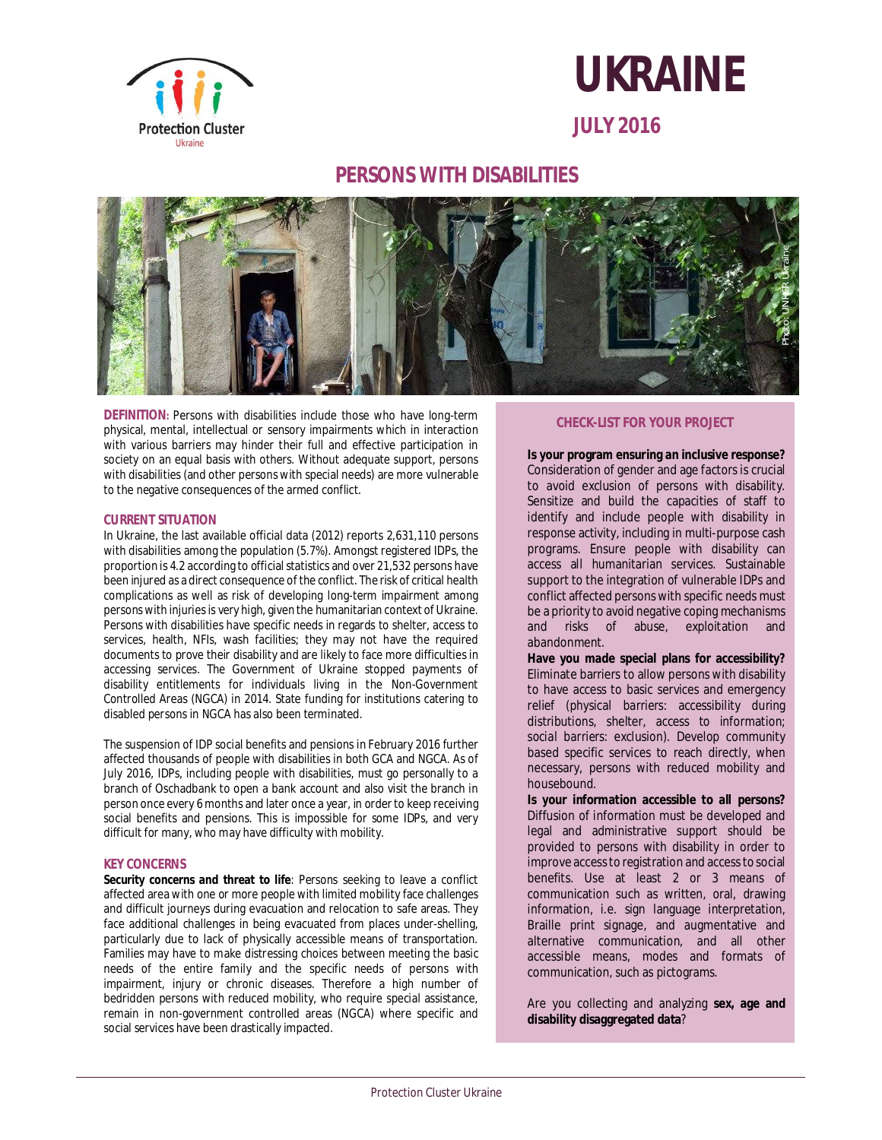



**JULY 2016**

# **PERSONS WITH DISABILITIES**



**DEFINITION:** Persons with disabilities include those who have long-term physical, mental, intellectual or sensory impairments which in interaction with various barriers may hinder their full and effective participation in society on an equal basis with others. Without adequate support, persons with disabilities (and other persons with special needs) are more vulnerable to the negative consequences of the armed conflict.

#### **CURRENT SITUATION**

In Ukraine, the last available official data (2012) reports 2,631,110 persons with disabilities among the population (5.7%). Amongst registered IDPs, the proportion is 4.2 according to official statistics and over 21,532 persons have been injured as a direct consequence of the conflict. The risk of critical health complications as well as risk of developing long-term impairment among persons with injuries is very high, given the humanitarian context of Ukraine. Persons with disabilities have specific needs in regards to shelter, access to services, health, NFIs, wash facilities; they may not have the required documents to prove their disability and are likely to face more difficulties in accessing services. The Government of Ukraine stopped payments of disability entitlements for individuals living in the Non-Government Controlled Areas (NGCA) in 2014. State funding for institutions catering to disabled persons in NGCA has also been terminated.

The suspension of IDP social benefits and pensions in February 2016 further affected thousands of people with disabilities in both GCA and NGCA. As of July 2016, IDPs, including people with disabilities, must go personally to a branch of Oschadbank to open a bank account and also visit the branch in person once every 6 months and later once a year, in order to keep receiving social benefits and pensions. This is impossible for some IDPs, and very difficult for many, who may have difficulty with mobility.

#### **KEY CONCERNS**

**Security concerns and threat to life**: Persons seeking to leave a conflict affected area with one or more people with limited mobility face challenges and difficult journeys during evacuation and relocation to safe areas. They face additional challenges in being evacuated from places under-shelling, particularly due to lack of physically accessible means of transportation. Families may have to make distressing choices between meeting the basic needs of the entire family and the specific needs of persons with impairment, injury or chronic diseases. Therefore a high number of bedridden persons with reduced mobility, who require special assistance, remain in non-government controlled areas (NGCA) where specific and social services have been drastically impacted.

### **CHECK-LIST FOR YOUR PROJECT**

**Is your program ensuring an inclusive response?** Consideration of gender and age factors is crucial to avoid exclusion of persons with disability. Sensitize and build the capacities of staff to identify and include people with disability in response activity, including in multi-purpose cash programs. Ensure people with disability can access all humanitarian services. Sustainable support to the integration of vulnerable IDPs and conflict affected persons with specific needs must be a priority to avoid negative coping mechanisms and risks of abuse, exploitation and abandonment.

**Have you made special plans for accessibility?** Eliminate barriers to allow persons with disability to have access to basic services and emergency relief *(physical barriers*: accessibility during distributions, shelter, access to information; *social barriers*: exclusion). Develop community based specific services to reach directly, when necessary, persons with reduced mobility and housebound.

**Is your information accessible to all persons?** Diffusion of information must be developed and legal and administrative support should be provided to persons with disability in order to improve access to registration and access to social benefits. Use at least 2 or 3 means of communication such as written, oral, drawing information, i.e. sign language interpretation, Braille print signage, and augmentative and alternative communication, and all other accessible means, modes and formats of communication, such as pictograms.

Are you collecting and analyzing **sex, age and disability disaggregated data**?